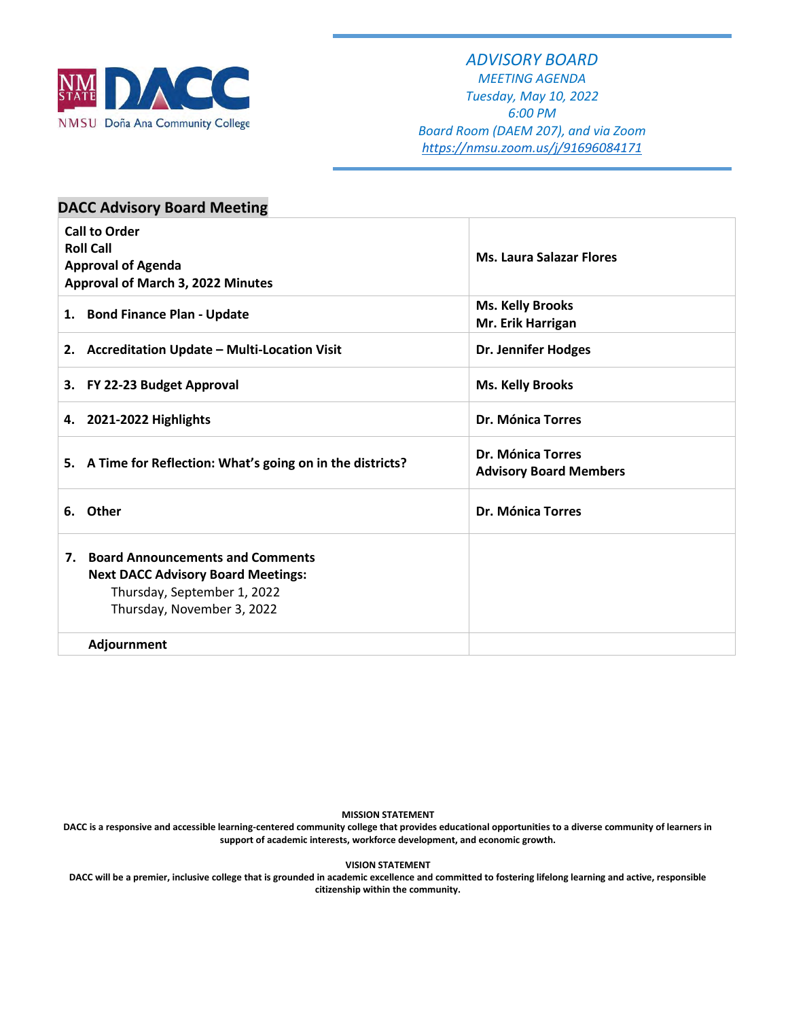

#### *ADVISORY BOARD*

*MEETING AGENDA Tuesday, May 10, 2022 6:00 PM Board Room (DAEM 207), and via Zoom <https://nmsu.zoom.us/j/91696084171>*

| <b>DACC Advisory Board Meeting</b>                                                                                                            |                                                    |
|-----------------------------------------------------------------------------------------------------------------------------------------------|----------------------------------------------------|
| <b>Call to Order</b><br><b>Roll Call</b><br><b>Approval of Agenda</b><br>Approval of March 3, 2022 Minutes                                    | <b>Ms. Laura Salazar Flores</b>                    |
| 1. Bond Finance Plan - Update                                                                                                                 | <b>Ms. Kelly Brooks</b><br>Mr. Erik Harrigan       |
| 2. Accreditation Update - Multi-Location Visit                                                                                                | <b>Dr. Jennifer Hodges</b>                         |
| 3. FY 22-23 Budget Approval                                                                                                                   | <b>Ms. Kelly Brooks</b>                            |
| 4. 2021-2022 Highlights                                                                                                                       | <b>Dr. Mónica Torres</b>                           |
| 5. A Time for Reflection: What's going on in the districts?                                                                                   | Dr. Mónica Torres<br><b>Advisory Board Members</b> |
| 6. Other                                                                                                                                      | Dr. Mónica Torres                                  |
| 7. Board Announcements and Comments<br><b>Next DACC Advisory Board Meetings:</b><br>Thursday, September 1, 2022<br>Thursday, November 3, 2022 |                                                    |
| Adjournment                                                                                                                                   |                                                    |

**MISSION STATEMENT**

**DACC is a responsive and accessible learning-centered community college that provides educational opportunities to a diverse community of learners in support of academic interests, workforce development, and economic growth.**

**VISION STATEMENT**

**DACC will be a premier, inclusive college that is grounded in academic excellence and committed to fostering lifelong learning and active, responsible citizenship within the community.**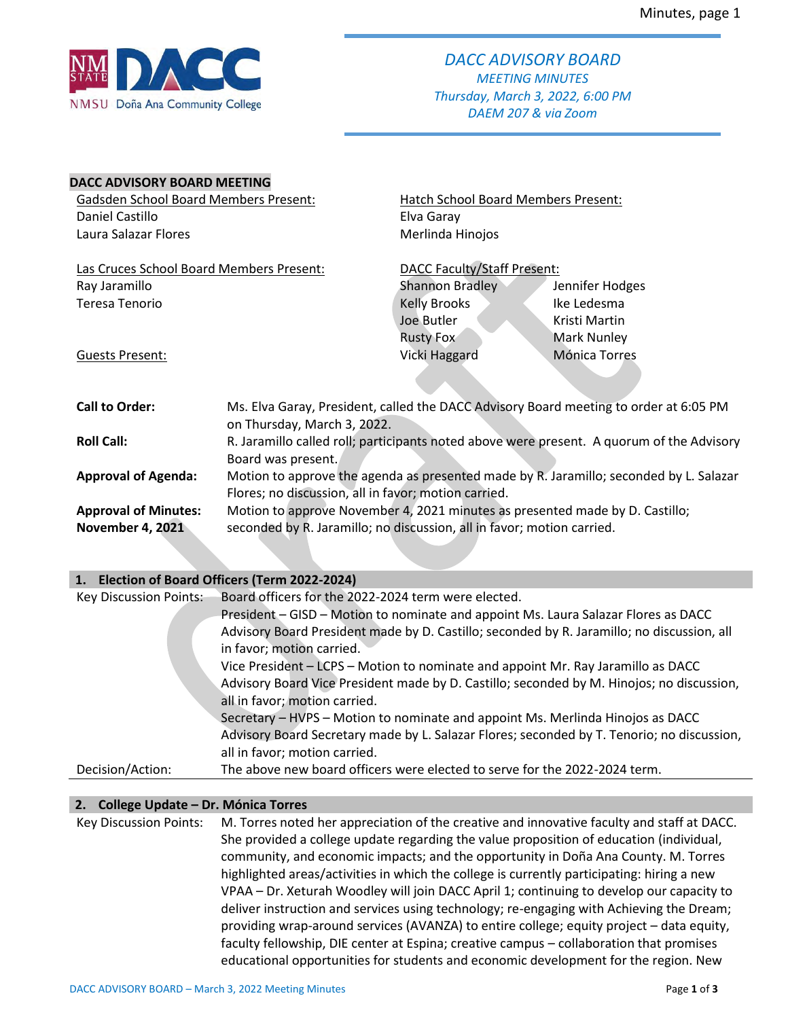

#### **DACC ADVISORY BOARD MEETING**

| <b>Gadsden School Board Members Present:</b> |                                                                              | Hatch School Board Members Present: |                                                                                           |  |  |
|----------------------------------------------|------------------------------------------------------------------------------|-------------------------------------|-------------------------------------------------------------------------------------------|--|--|
| Daniel Castillo                              |                                                                              | Elva Garay                          |                                                                                           |  |  |
| Laura Salazar Flores                         |                                                                              | Merlinda Hinojos                    |                                                                                           |  |  |
|                                              |                                                                              |                                     |                                                                                           |  |  |
| Las Cruces School Board Members Present:     |                                                                              | <b>DACC Faculty/Staff Present:</b>  |                                                                                           |  |  |
| Ray Jaramillo                                |                                                                              | <b>Shannon Bradley</b>              | Jennifer Hodges                                                                           |  |  |
| Teresa Tenorio                               |                                                                              | Kelly Brooks                        | Ike Ledesma                                                                               |  |  |
|                                              |                                                                              | Joe Butler                          | Kristi Martin                                                                             |  |  |
|                                              |                                                                              | <b>Rusty Fox</b>                    | <b>Mark Nunley</b>                                                                        |  |  |
| <b>Guests Present:</b>                       |                                                                              | Vicki Haggard                       | Mónica Torres                                                                             |  |  |
|                                              |                                                                              |                                     |                                                                                           |  |  |
| <b>Call to Order:</b>                        |                                                                              |                                     | Ms. Elva Garay, President, called the DACC Advisory Board meeting to order at 6:05 PM     |  |  |
|                                              | on Thursday, March 3, 2022.                                                  |                                     |                                                                                           |  |  |
| <b>Roll Call:</b>                            |                                                                              |                                     | R. Jaramillo called roll; participants noted above were present. A quorum of the Advisory |  |  |
|                                              | Board was present.                                                           |                                     |                                                                                           |  |  |
| <b>Approval of Agenda:</b>                   |                                                                              |                                     | Motion to approve the agenda as presented made by R. Jaramillo; seconded by L. Salazar    |  |  |
|                                              | Flores; no discussion, all in favor; motion carried.                         |                                     |                                                                                           |  |  |
| <b>Approval of Minutes:</b>                  | Motion to approve November 4, 2021 minutes as presented made by D. Castillo; |                                     |                                                                                           |  |  |
| <b>November 4, 2021</b>                      | seconded by R. Jaramillo; no discussion, all in favor; motion carried.       |                                     |                                                                                           |  |  |

#### **1. Election of Board Officers (Term 2022-2024)**

| Key Discussion Points: | Board officers for the 2022-2024 term were elected.                                        |
|------------------------|--------------------------------------------------------------------------------------------|
|                        | President – GISD – Motion to nominate and appoint Ms. Laura Salazar Flores as DACC         |
|                        | Advisory Board President made by D. Castillo; seconded by R. Jaramillo; no discussion, all |
|                        | in favor; motion carried.                                                                  |
|                        | Vice President - LCPS - Motion to nominate and appoint Mr. Ray Jaramillo as DACC           |
|                        | Advisory Board Vice President made by D. Castillo; seconded by M. Hinojos; no discussion,  |
|                        | all in favor; motion carried.                                                              |
|                        | Secretary – HVPS – Motion to nominate and appoint Ms. Merlinda Hinojos as DACC             |
|                        | Advisory Board Secretary made by L. Salazar Flores; seconded by T. Tenorio; no discussion, |
|                        | all in favor; motion carried.                                                              |
| Decision/Action:       | The above new board officers were elected to serve for the 2022-2024 term.                 |

#### **2. College Update – Dr. Mónica Torres**

Key Discussion Points: M. Torres noted her appreciation of the creative and innovative faculty and staff at DACC. She provided a college update regarding the value proposition of education (individual, community, and economic impacts; and the opportunity in Doña Ana County. M. Torres highlighted areas/activities in which the college is currently participating: hiring a new VPAA – Dr. Xeturah Woodley will join DACC April 1; continuing to develop our capacity to deliver instruction and services using technology; re-engaging with Achieving the Dream; providing wrap-around services (AVANZA) to entire college; equity project – data equity, faculty fellowship, DIE center at Espina; creative campus – collaboration that promises educational opportunities for students and economic development for the region. New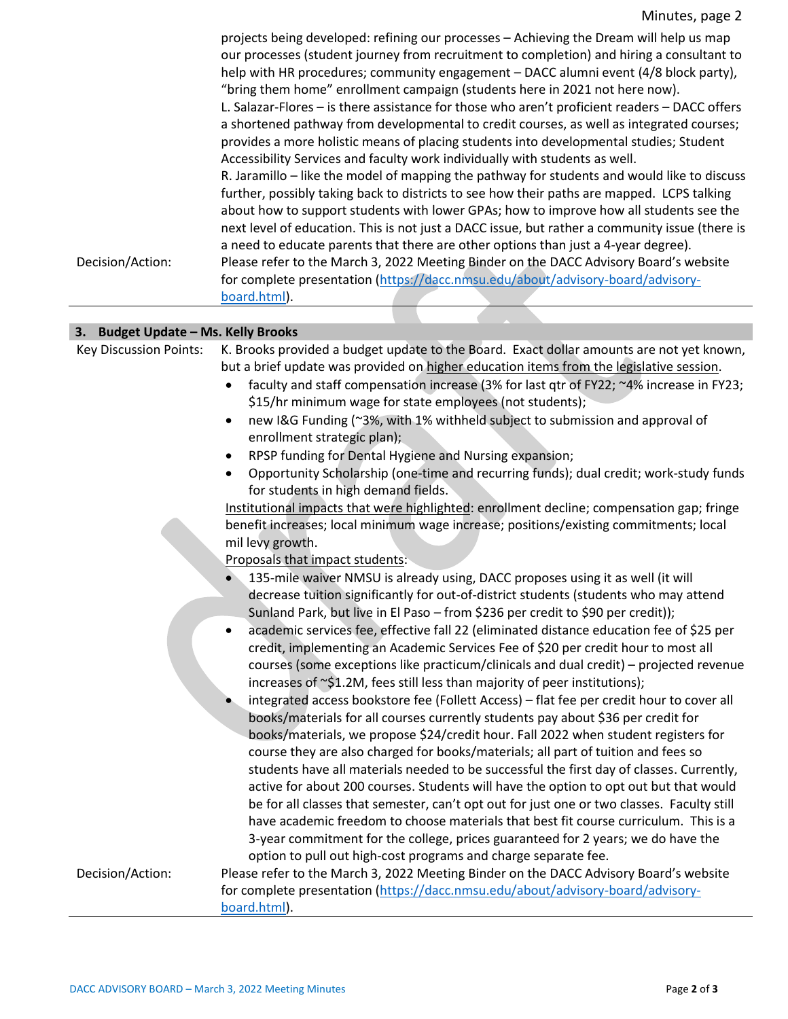|                  | projects being developed: refining our processes - Achieving the Dream will help us map        |
|------------------|------------------------------------------------------------------------------------------------|
|                  | our processes (student journey from recruitment to completion) and hiring a consultant to      |
|                  | help with HR procedures; community engagement - DACC alumni event (4/8 block party),           |
|                  | "bring them home" enrollment campaign (students here in 2021 not here now).                    |
|                  | L. Salazar-Flores - is there assistance for those who aren't proficient readers - DACC offers  |
|                  | a shortened pathway from developmental to credit courses, as well as integrated courses;       |
|                  | provides a more holistic means of placing students into developmental studies; Student         |
|                  | Accessibility Services and faculty work individually with students as well.                    |
|                  | R. Jaramillo – like the model of mapping the pathway for students and would like to discuss    |
|                  | further, possibly taking back to districts to see how their paths are mapped. LCPS talking     |
|                  | about how to support students with lower GPAs; how to improve how all students see the         |
|                  | next level of education. This is not just a DACC issue, but rather a community issue (there is |
|                  | a need to educate parents that there are other options than just a 4-year degree).             |
| Decision/Action: | Please refer to the March 3, 2022 Meeting Binder on the DACC Advisory Board's website          |
|                  | for complete presentation (https://dacc.nmsu.edu/about/advisory-board/advisory-                |
|                  | board.html).                                                                                   |
|                  |                                                                                                |

### **3. Budget Update – Ms. Kelly Brooks**

| 3. Budget Update - Ms. Kelly Brooks |                                                                                                                                                                                     |
|-------------------------------------|-------------------------------------------------------------------------------------------------------------------------------------------------------------------------------------|
| <b>Key Discussion Points:</b>       | K. Brooks provided a budget update to the Board. Exact dollar amounts are not yet known,<br>but a brief update was provided on higher education items from the legislative session. |
|                                     | faculty and staff compensation increase (3% for last qtr of FY22; ~4% increase in FY23;<br>\$15/hr minimum wage for state employees (not students);                                 |
|                                     | new I&G Funding (~3%, with 1% withheld subject to submission and approval of<br>$\bullet$                                                                                           |
|                                     | enrollment strategic plan);                                                                                                                                                         |
|                                     | RPSP funding for Dental Hygiene and Nursing expansion;<br>٠                                                                                                                         |
|                                     | Opportunity Scholarship (one-time and recurring funds); dual credit; work-study funds<br>$\bullet$<br>for students in high demand fields.                                           |
|                                     | Institutional impacts that were highlighted: enrollment decline; compensation gap; fringe                                                                                           |
|                                     | benefit increases; local minimum wage increase; positions/existing commitments; local                                                                                               |
|                                     | mil levy growth.                                                                                                                                                                    |
|                                     | Proposals that impact students:                                                                                                                                                     |
|                                     | 135-mile waiver NMSU is already using, DACC proposes using it as well (it will                                                                                                      |
|                                     | decrease tuition significantly for out-of-district students (students who may attend                                                                                                |
|                                     | Sunland Park, but live in El Paso - from \$236 per credit to \$90 per credit));                                                                                                     |
|                                     | academic services fee, effective fall 22 (eliminated distance education fee of \$25 per<br>$\bullet$                                                                                |
|                                     | credit, implementing an Academic Services Fee of \$20 per credit hour to most all                                                                                                   |
|                                     | courses (some exceptions like practicum/clinicals and dual credit) – projected revenue                                                                                              |
|                                     | increases of $\sim$ \$1.2M, fees still less than majority of peer institutions);                                                                                                    |
|                                     | integrated access bookstore fee (Follett Access) - flat fee per credit hour to cover all                                                                                            |
|                                     | books/materials for all courses currently students pay about \$36 per credit for                                                                                                    |
|                                     | books/materials, we propose \$24/credit hour. Fall 2022 when student registers for                                                                                                  |
|                                     | course they are also charged for books/materials; all part of tuition and fees so                                                                                                   |
|                                     | students have all materials needed to be successful the first day of classes. Currently,<br>active for about 200 courses. Students will have the option to opt out but that would   |
|                                     | be for all classes that semester, can't opt out for just one or two classes. Faculty still                                                                                          |
|                                     | have academic freedom to choose materials that best fit course curriculum. This is a                                                                                                |
|                                     | 3-year commitment for the college, prices guaranteed for 2 years; we do have the                                                                                                    |
|                                     | option to pull out high-cost programs and charge separate fee.                                                                                                                      |
| Decision/Action:                    | Please refer to the March 3, 2022 Meeting Binder on the DACC Advisory Board's website                                                                                               |
|                                     | for complete presentation (https://dacc.nmsu.edu/about/advisory-board/advisory-                                                                                                     |
|                                     | board.html).                                                                                                                                                                        |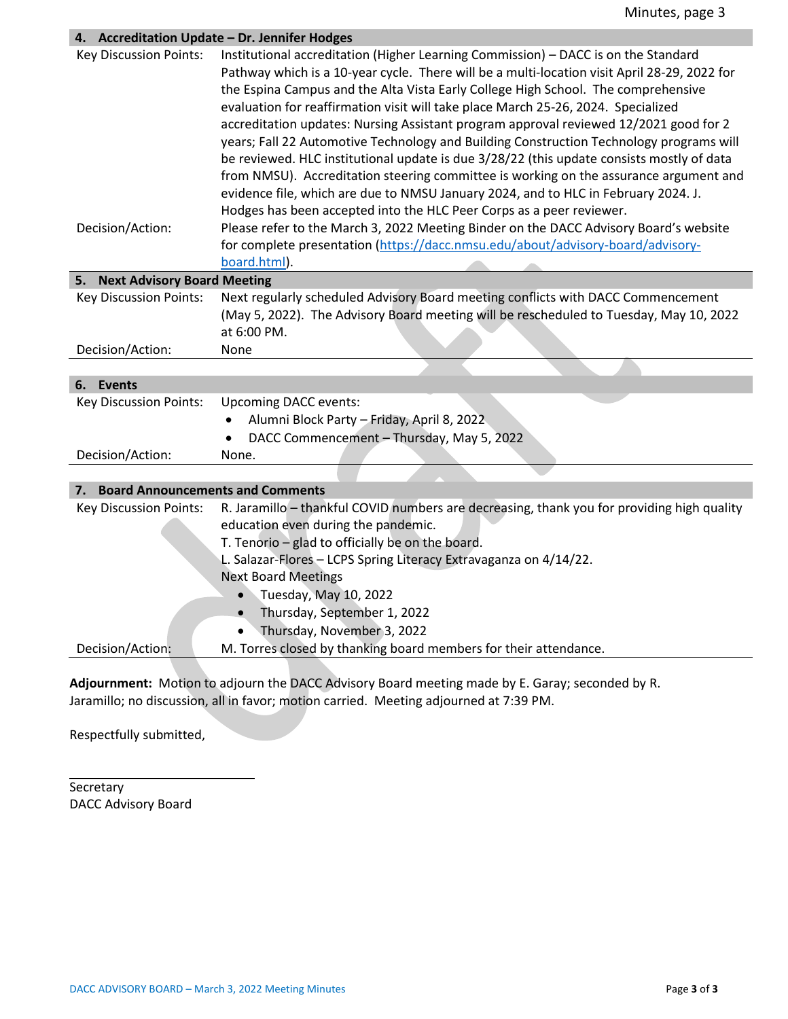### **4. Accreditation Update – Dr. Jennifer Hodges**

|                                               | Accreditation optique – Dr. Jennifer Houges                                                                                                                                                                                                                                                                                                                                                                                                                                                                                                                                                                                                                                                                                                                                                                                                                                                          |
|-----------------------------------------------|------------------------------------------------------------------------------------------------------------------------------------------------------------------------------------------------------------------------------------------------------------------------------------------------------------------------------------------------------------------------------------------------------------------------------------------------------------------------------------------------------------------------------------------------------------------------------------------------------------------------------------------------------------------------------------------------------------------------------------------------------------------------------------------------------------------------------------------------------------------------------------------------------|
| <b>Key Discussion Points:</b>                 | Institutional accreditation (Higher Learning Commission) - DACC is on the Standard<br>Pathway which is a 10-year cycle. There will be a multi-location visit April 28-29, 2022 for<br>the Espina Campus and the Alta Vista Early College High School. The comprehensive<br>evaluation for reaffirmation visit will take place March 25-26, 2024. Specialized<br>accreditation updates: Nursing Assistant program approval reviewed 12/2021 good for 2<br>years; Fall 22 Automotive Technology and Building Construction Technology programs will<br>be reviewed. HLC institutional update is due 3/28/22 (this update consists mostly of data<br>from NMSU). Accreditation steering committee is working on the assurance argument and<br>evidence file, which are due to NMSU January 2024, and to HLC in February 2024. J.<br>Hodges has been accepted into the HLC Peer Corps as a peer reviewer. |
| Decision/Action:                              | Please refer to the March 3, 2022 Meeting Binder on the DACC Advisory Board's website                                                                                                                                                                                                                                                                                                                                                                                                                                                                                                                                                                                                                                                                                                                                                                                                                |
|                                               | for complete presentation (https://dacc.nmsu.edu/about/advisory-board/advisory-                                                                                                                                                                                                                                                                                                                                                                                                                                                                                                                                                                                                                                                                                                                                                                                                                      |
|                                               | board.html).                                                                                                                                                                                                                                                                                                                                                                                                                                                                                                                                                                                                                                                                                                                                                                                                                                                                                         |
| 5. Next Advisory Board Meeting                |                                                                                                                                                                                                                                                                                                                                                                                                                                                                                                                                                                                                                                                                                                                                                                                                                                                                                                      |
| <b>Key Discussion Points:</b>                 | Next regularly scheduled Advisory Board meeting conflicts with DACC Commencement                                                                                                                                                                                                                                                                                                                                                                                                                                                                                                                                                                                                                                                                                                                                                                                                                     |
|                                               | (May 5, 2022). The Advisory Board meeting will be rescheduled to Tuesday, May 10, 2022                                                                                                                                                                                                                                                                                                                                                                                                                                                                                                                                                                                                                                                                                                                                                                                                               |
|                                               | at 6:00 PM.                                                                                                                                                                                                                                                                                                                                                                                                                                                                                                                                                                                                                                                                                                                                                                                                                                                                                          |
| Decision/Action:                              | None                                                                                                                                                                                                                                                                                                                                                                                                                                                                                                                                                                                                                                                                                                                                                                                                                                                                                                 |
|                                               |                                                                                                                                                                                                                                                                                                                                                                                                                                                                                                                                                                                                                                                                                                                                                                                                                                                                                                      |
| 6. Events                                     |                                                                                                                                                                                                                                                                                                                                                                                                                                                                                                                                                                                                                                                                                                                                                                                                                                                                                                      |
| <b>Key Discussion Points:</b>                 | <b>Upcoming DACC events:</b>                                                                                                                                                                                                                                                                                                                                                                                                                                                                                                                                                                                                                                                                                                                                                                                                                                                                         |
|                                               | Alumni Block Party - Friday, April 8, 2022<br>$\bullet$                                                                                                                                                                                                                                                                                                                                                                                                                                                                                                                                                                                                                                                                                                                                                                                                                                              |
|                                               | DACC Commencement - Thursday, May 5, 2022                                                                                                                                                                                                                                                                                                                                                                                                                                                                                                                                                                                                                                                                                                                                                                                                                                                            |
| Decision/Action:                              | None.                                                                                                                                                                                                                                                                                                                                                                                                                                                                                                                                                                                                                                                                                                                                                                                                                                                                                                |
|                                               |                                                                                                                                                                                                                                                                                                                                                                                                                                                                                                                                                                                                                                                                                                                                                                                                                                                                                                      |
| <b>Board Announcements and Comments</b><br>7. |                                                                                                                                                                                                                                                                                                                                                                                                                                                                                                                                                                                                                                                                                                                                                                                                                                                                                                      |
| <b>Key Discussion Points:</b>                 | R. Jaramillo - thankful COVID numbers are decreasing, thank you for providing high quality                                                                                                                                                                                                                                                                                                                                                                                                                                                                                                                                                                                                                                                                                                                                                                                                           |
|                                               | education even during the pandemic.                                                                                                                                                                                                                                                                                                                                                                                                                                                                                                                                                                                                                                                                                                                                                                                                                                                                  |
|                                               | T. Tenorio - glad to officially be on the board.                                                                                                                                                                                                                                                                                                                                                                                                                                                                                                                                                                                                                                                                                                                                                                                                                                                     |
|                                               | L. Salazar-Flores - LCPS Spring Literacy Extravaganza on 4/14/22.                                                                                                                                                                                                                                                                                                                                                                                                                                                                                                                                                                                                                                                                                                                                                                                                                                    |
|                                               | <b>Next Board Meetings</b>                                                                                                                                                                                                                                                                                                                                                                                                                                                                                                                                                                                                                                                                                                                                                                                                                                                                           |
|                                               | Tuesday, May 10, 2022<br>$\bullet$                                                                                                                                                                                                                                                                                                                                                                                                                                                                                                                                                                                                                                                                                                                                                                                                                                                                   |
|                                               | Thursday, September 1, 2022                                                                                                                                                                                                                                                                                                                                                                                                                                                                                                                                                                                                                                                                                                                                                                                                                                                                          |
|                                               | Thursday, November 3, 2022                                                                                                                                                                                                                                                                                                                                                                                                                                                                                                                                                                                                                                                                                                                                                                                                                                                                           |
| Decision/Action:                              | M. Torres closed by thanking board members for their attendance.                                                                                                                                                                                                                                                                                                                                                                                                                                                                                                                                                                                                                                                                                                                                                                                                                                     |

**Adjournment:** Motion to adjourn the DACC Advisory Board meeting made by E. Garay; seconded by R. Jaramillo; no discussion, all in favor; motion carried. Meeting adjourned at 7:39 PM.

Respectfully submitted,

**Secretary** DACC Advisory Board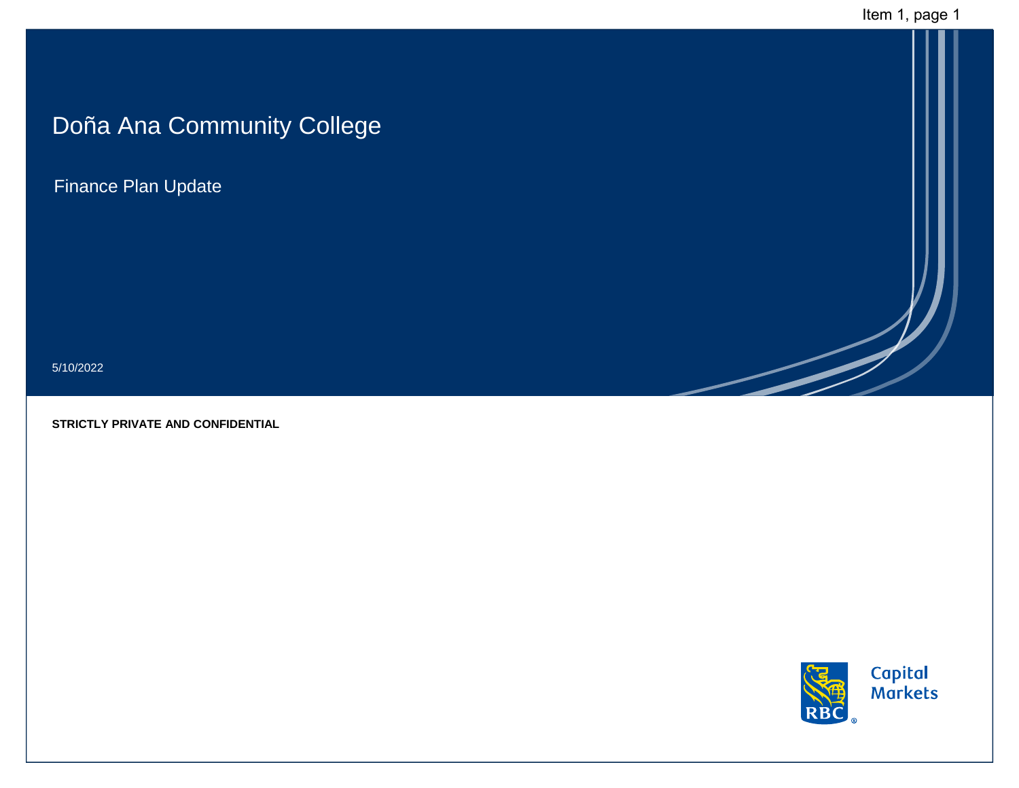# Doña Ana Community College

Finance Plan Update

5/10/2022

**STRICTLY PRIVATE AND CONFIDENTIAL**

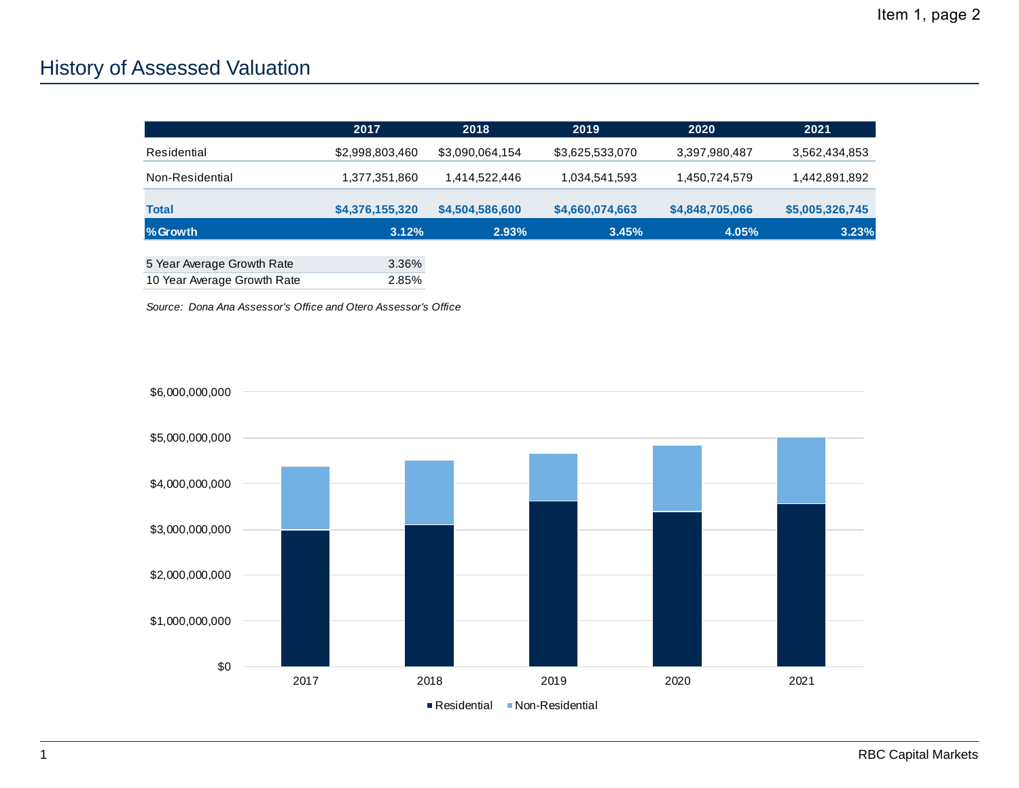# History of Assessed Valuation

|                             | 2017            | 2018            | 2019            | 2020            | 2021            |
|-----------------------------|-----------------|-----------------|-----------------|-----------------|-----------------|
| Residential                 | \$2,998,803,460 | \$3,090,064,154 | \$3,625,533,070 | 3,397,980,487   | 3,562,434,853   |
| Non-Residential             | 1,377,351,860   | 1,414,522,446   | 1,034,541,593   | 1,450,724,579   | 1,442,891,892   |
| <b>Total</b>                | \$4,376,155,320 | \$4,504,586,600 | \$4,660,074,663 | \$4,848,705,066 | \$5,005,326,745 |
| %Growth                     | 3.12%           | 2.93%           | 3.45%           | 4.05%           | 3.23%           |
| 5 Year Average Growth Rate  | 3.36%           |                 |                 |                 |                 |
| 10 Year Average Growth Rate | 2.85%           |                 |                 |                 |                 |

*Source: Dona Ana Assessor's Office and Otero Assessor's Office*

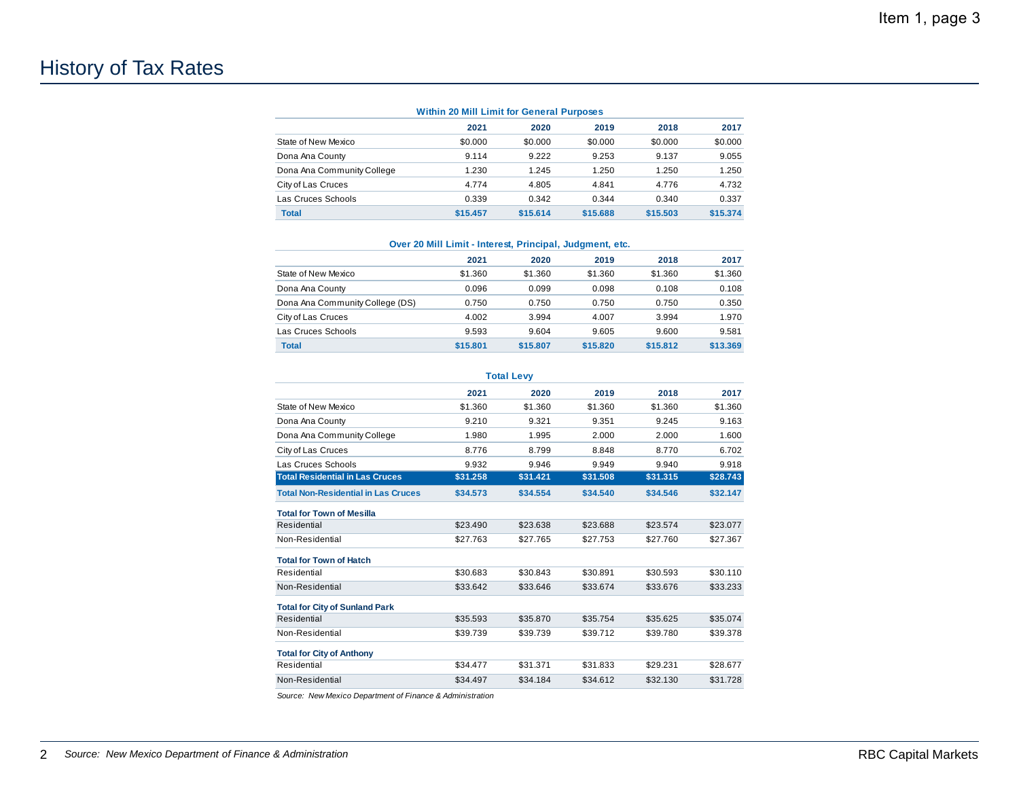# History of Tax Rates

| 2021     | 2020     | 2019     | 2018     | 2017     |
|----------|----------|----------|----------|----------|
| \$0.000  | \$0.000  | \$0.000  | \$0.000  | \$0.000  |
| 9.114    | 9.222    | 9.253    | 9.137    | 9.055    |
| 1.230    | 1.245    | 1.250    | 1.250    | 1.250    |
| 4.774    | 4.805    | 4.841    | 4.776    | 4.732    |
| 0.339    | 0.342    | 0.344    | 0.340    | 0.337    |
| \$15,457 | \$15,614 | \$15,688 | \$15,503 | \$15,374 |
|          |          |          |          |          |

#### **Over 20 Mill Limit - Interest, Principal, Judgment, etc.**

|          |          |          |          | 2017     |
|----------|----------|----------|----------|----------|
| \$1.360  | \$1.360  | \$1.360  | \$1.360  | \$1.360  |
| 0.096    | 0.099    | 0.098    | 0.108    | 0.108    |
| 0.750    | 0.750    | 0.750    | 0.750    | 0.350    |
| 4.002    | 3.994    | 4.007    | 3.994    | 1.970    |
| 9.593    | 9.604    | 9.605    | 9.600    | 9.581    |
| \$15,801 | \$15,807 | \$15,820 | \$15,812 | \$13,369 |
|          | 2021     | 2020     | 2019     | 2018     |

|                                            |          | <b>Total Levy</b> |          |          |          |
|--------------------------------------------|----------|-------------------|----------|----------|----------|
|                                            | 2021     | 2020              | 2019     | 2018     | 2017     |
| State of New Mexico                        | \$1.360  | \$1.360           | \$1.360  | \$1.360  | \$1.360  |
| Dona Ana County                            | 9.210    | 9.321             | 9.351    | 9.245    | 9.163    |
| Dona Ana Community College                 | 1.980    | 1.995             | 2.000    | 2.000    | 1.600    |
| City of Las Cruces                         | 8.776    | 8.799             | 8.848    | 8.770    | 6.702    |
| Las Cruces Schools                         | 9.932    | 9.946             | 9.949    | 9.940    | 9.918    |
| <b>Total Residential in Las Cruces</b>     | \$31,258 | \$31.421          | \$31,508 | \$31.315 | \$28.743 |
| <b>Total Non-Residential in Las Cruces</b> | \$34.573 | \$34,554          | \$34.540 | \$34.546 | \$32.147 |
| <b>Total for Town of Mesilla</b>           |          |                   |          |          |          |
| Residential                                | \$23.490 | \$23.638          | \$23.688 | \$23.574 | \$23.077 |
| Non-Residential                            | \$27.763 | \$27.765          | \$27.753 | \$27.760 | \$27.367 |
| <b>Total for Town of Hatch</b>             |          |                   |          |          |          |
| Residential                                | \$30.683 | \$30.843          | \$30.891 | \$30.593 | \$30.110 |
| Non-Residential                            | \$33.642 | \$33.646          | \$33.674 | \$33.676 | \$33.233 |
| <b>Total for City of Sunland Park</b>      |          |                   |          |          |          |
| Residential                                | \$35.593 | \$35,870          | \$35.754 | \$35.625 | \$35.074 |
| Non-Residential                            | \$39.739 | \$39.739          | \$39.712 | \$39.780 | \$39.378 |
| <b>Total for City of Anthony</b>           |          |                   |          |          |          |
| Residential                                | \$34.477 | \$31.371          | \$31.833 | \$29.231 | \$28.677 |
| Non-Residential                            | \$34.497 | \$34.184          | \$34.612 | \$32.130 | \$31.728 |
|                                            |          |                   |          |          |          |

*Source: New Mexico Department of Finance & Administration*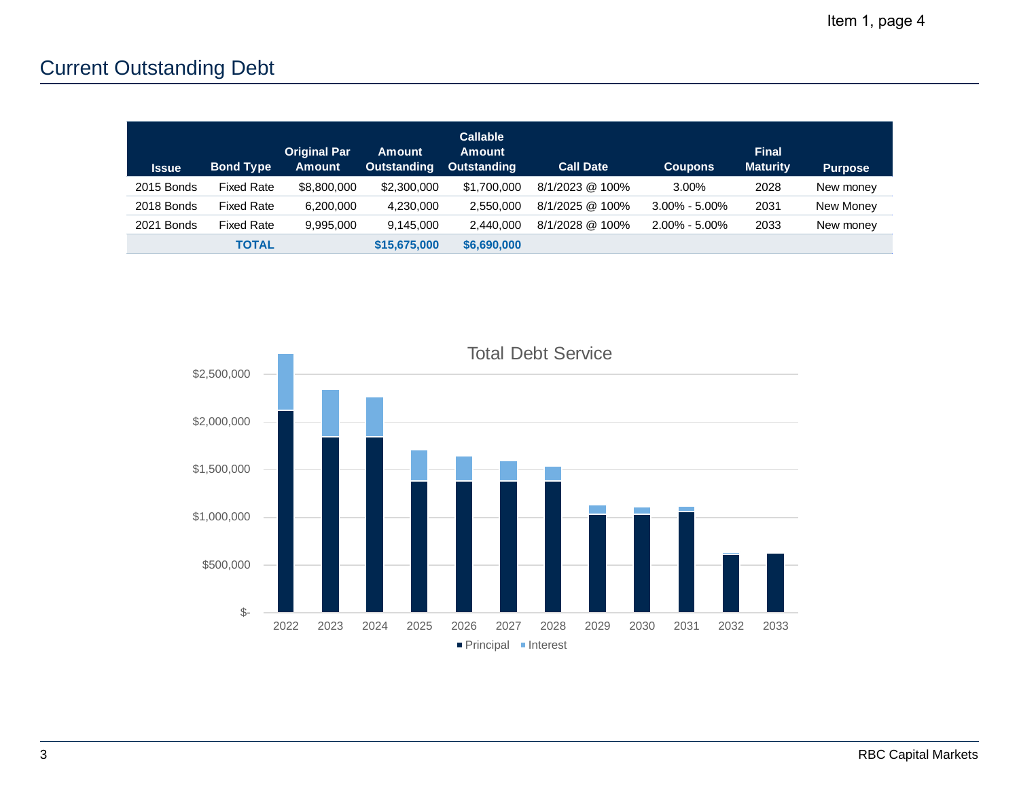# Current Outstanding Debt

| <b>Issue</b> | <b>Bond Type</b>  | <b>Original Par</b><br><b>Amount</b> | <b>Amount</b><br><b>Outstanding</b> | <b>Callable</b><br><b>Amount</b><br><b>Outstanding</b> | <b>Call Date</b> | <b>Coupons</b>    | <b>Final</b><br><b>Maturity</b> | <b>Purpose</b> |
|--------------|-------------------|--------------------------------------|-------------------------------------|--------------------------------------------------------|------------------|-------------------|---------------------------------|----------------|
| 2015 Bonds   | <b>Fixed Rate</b> | \$8,800,000                          | \$2,300,000                         | \$1,700,000                                            | 8/1/2023 @ 100%  | 3.00%             | 2028                            | New money      |
| 2018 Bonds   | <b>Fixed Rate</b> | 6,200,000                            | 4,230,000                           | 2,550,000                                              | 8/1/2025 @ 100%  | $3.00\% - 5.00\%$ | 2031                            | New Money      |
| 2021 Bonds   | <b>Fixed Rate</b> | 9,995,000                            | 9.145.000                           | 2.440.000                                              | 8/1/2028 @ 100%  | $2.00\%$ - 5.00%  | 2033                            | New money      |
|              | <b>TOTAL</b>      |                                      | \$15,675,000                        | \$6,690,000                                            |                  |                   |                                 |                |

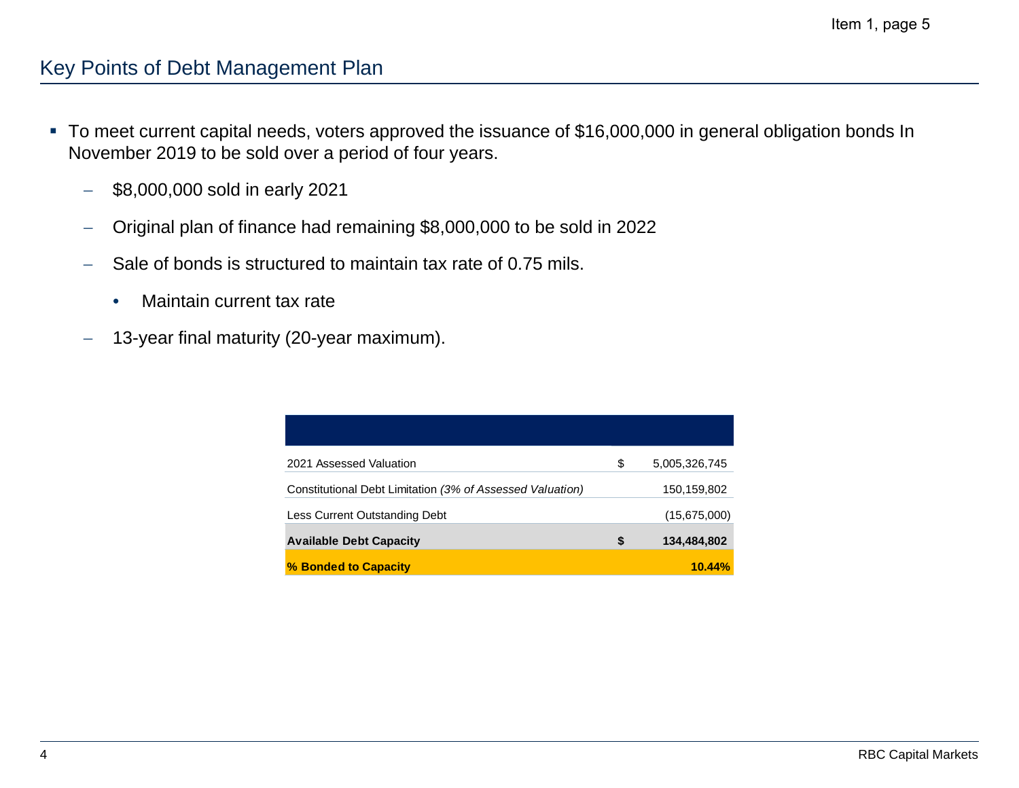### Key Points of Debt Management Plan

- To meet current capital needs, voters approved the issuance of \$16,000,000 in general obligation bonds In November 2019 to be sold over a period of four years.
	- $\overline{\phantom{0}}$ \$8,000,000 sold in early 2021
	- Original plan of finance had remaining \$8,000,000 to be sold in 2022
	- Sale of bonds is structured to maintain tax rate of 0.75 mils.
		- $\bullet$ Maintain current tax rate
	- 13-year final maturity (20-year maximum).

| 2021 Assessed Valuation                                   | \$<br>5,005,326,745 |
|-----------------------------------------------------------|---------------------|
| Constitutional Debt Limitation (3% of Assessed Valuation) | 150,159,802         |
| Less Current Outstanding Debt                             | (15,675,000)        |
| <b>Available Debt Capacity</b>                            | \$<br>134,484,802   |
| % Bonded to Capacity                                      | 10.44%              |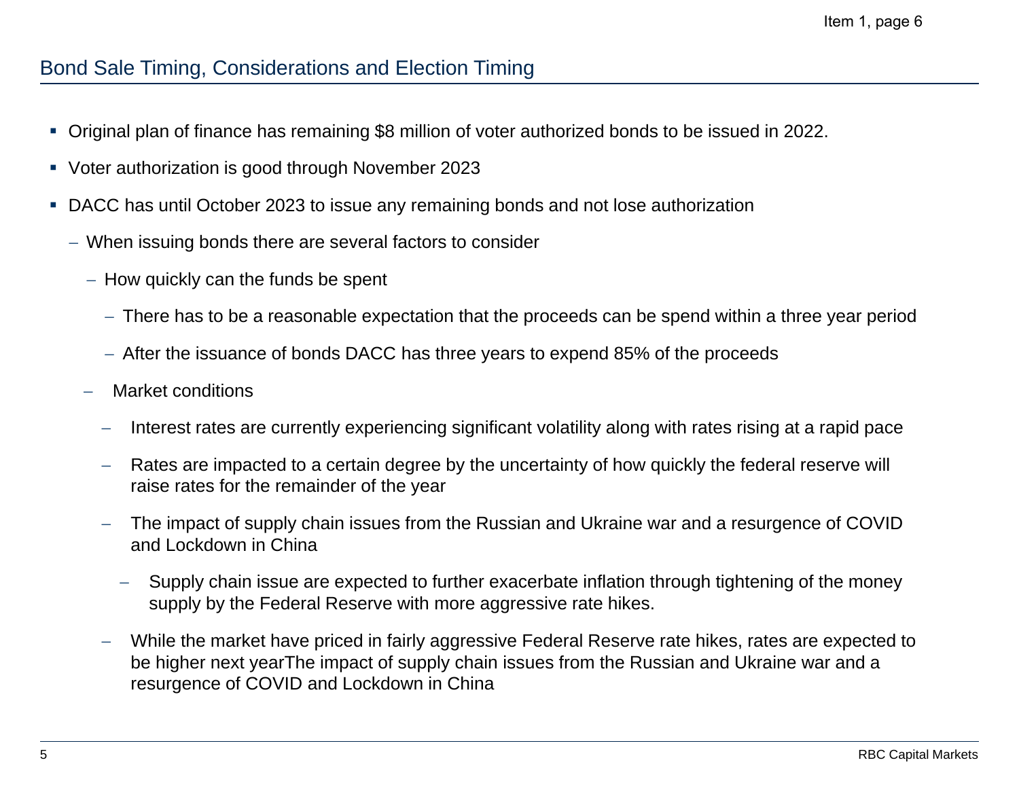### Bond Sale Timing, Considerations and Election Timing

- $\mathcal{L}_{\mathcal{A}}$ Original plan of finance has remaining \$8 million of voter authorized bonds to be issued in 2022.
- Voter authorization is good through November 2023
- DACC has until October 2023 to issue any remaining bonds and not lose authorization
	- When issuing bonds there are several factors to consider
		- $-$  How quickly can the funds be spent
			- There has to be a reasonable expectation that the proceeds can be spend within a three year period
			- $-$  After the issuance of bonds DACC has three years to expend 85% of the proceeds
		- Market conditions
			- $\overline{\phantom{0}}$ Interest rates are currently experiencing significant volatility along with rates rising at a rapid pace
			- $\overline{\phantom{m}}$  Rates are impacted to a certain degree by the uncertainty of how quickly the federal reserve will raise rates for the remainder of the year
			- The impact of supply chain issues from the Russian and Ukraine war and a resurgence of COVID and Lockdown in China
				- Supply chain issue are expected to further exacerbate inflation through tightening of the money supply by the Federal Reserve with more aggressive rate hikes.
			- $\overline{\phantom{m}}$  While the market have priced in fairly aggressive Federal Reserve rate hikes, rates are expected to be higher next yearThe impact of supply chain issues from the Russian and Ukraine war and a resurgence of COVID and Lockdown in China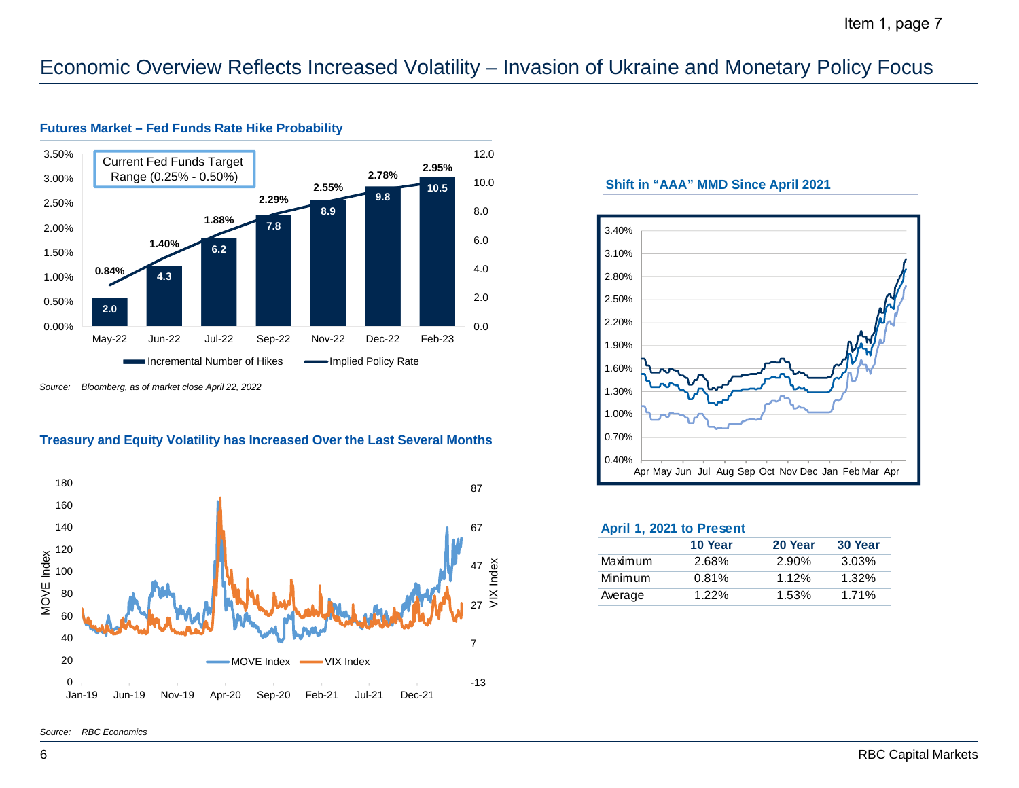## Economic Overview Reflects Increased Volatility – Invasion of Ukraine and Monetary Policy Focus



#### **Futures Market – Fed Funds Rate Hike Probability**

*Source: Bloomberg, as of market close April 22, 2022*

#### **Treasury and Equity Volatility has Increased Over the Last Several Months**



### **Shift in "AAA" MMD Since April 2021**



#### **April 1, 2021 to Present**

|         | 10 Year  | 20 Year  | 30 Year  |
|---------|----------|----------|----------|
| Maximum | 2.68%    | 2.90%    | $3.03\%$ |
| Minimum | 0.81%    | 1.12%    | $1.32\%$ |
| Average | $1.22\%$ | $1.53\%$ | 1.71%    |

*Source: RBC Economics*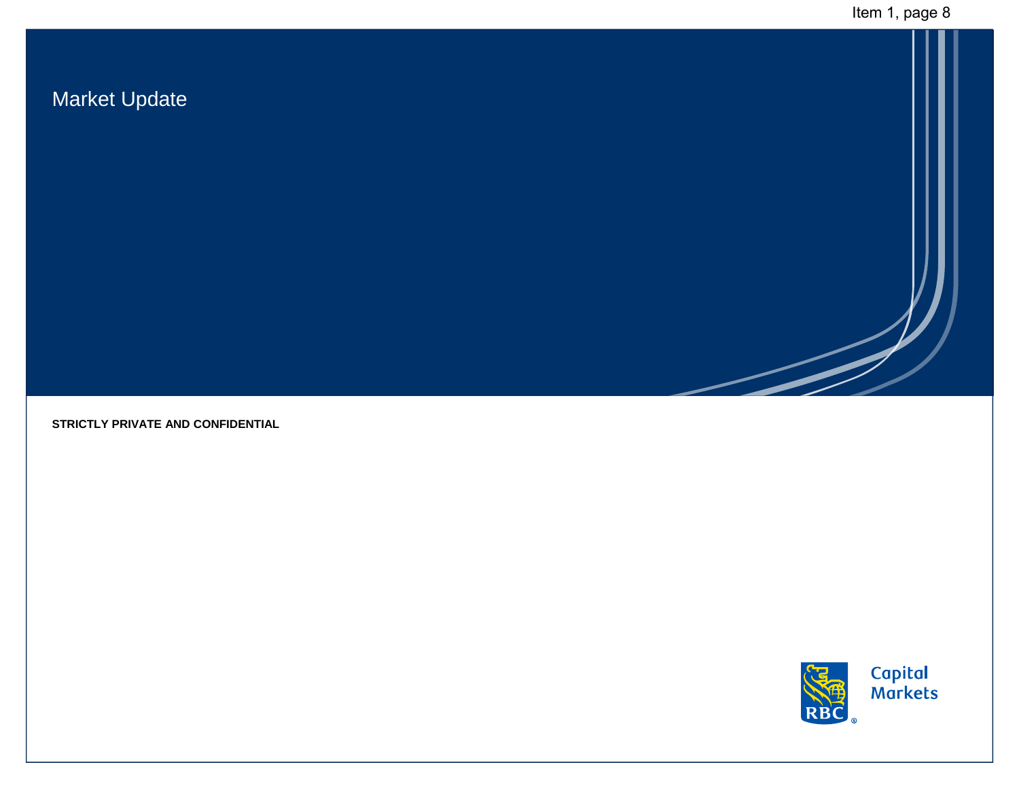# Market Update

**STRICTLY PRIVATE AND CONFIDENTIAL**

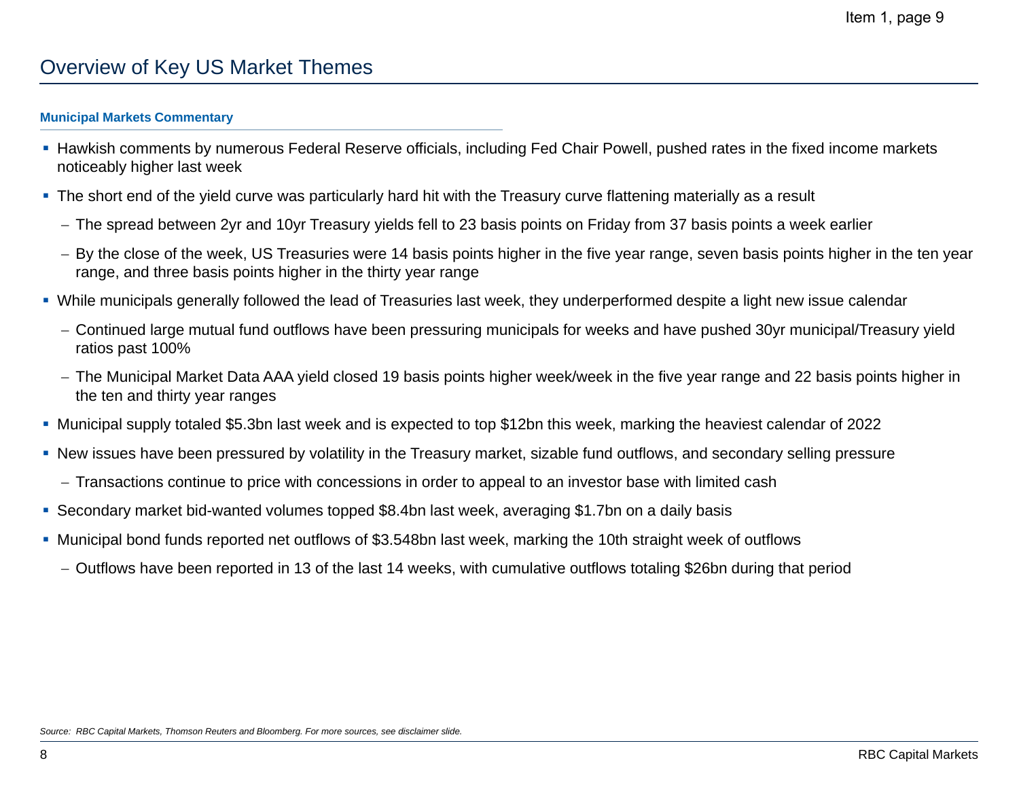## Overview of Key US Market Themes

#### **Municipal Markets Commentary**

- Hawkish comments by numerous Federal Reserve officials, including Fed Chair Powell, pushed rates in the fixed income markets noticeably higher last week
- The short end of the yield curve was particularly hard hit with the Treasury curve flattening materially as a result
	- The spread between 2yr and 10yr Treasury yields fell to 23 basis points on Friday from 37 basis points a week earlier
	- By the close of the week, US Treasuries were 14 basis points higher in the five year range, seven basis points higher in the ten year range, and three basis points higher in the thirty year range
- While municipals generally followed the lead of Treasuries last week, they underperformed despite a light new issue calendar
	- Continued large mutual fund outflows have been pressuring municipals for weeks and have pushed 30yr municipal/Treasury yield ratios past 100%
	- The Municipal Market Data AAA yield closed 19 basis points higher week/week in the five year range and 22 basis points higher in the ten and thirty year ranges
- Municipal supply totaled \$5.3bn last week and is expected to top \$12bn this week, marking the heaviest calendar of 2022
- New issues have been pressured by volatility in the Treasury market, sizable fund outflows, and secondary selling pressure
	- Transactions continue to price with concessions in order to appeal to an investor base with limited cash
- Secondary market bid-wanted volumes topped \$8.4bn last week, averaging \$1.7bn on a daily basis
- Municipal bond funds reported net outflows of \$3.548bn last week, marking the 10th straight week of outflows
	- Outflows have been reported in 13 of the last 14 weeks, with cumulative outflows totaling \$26bn during that period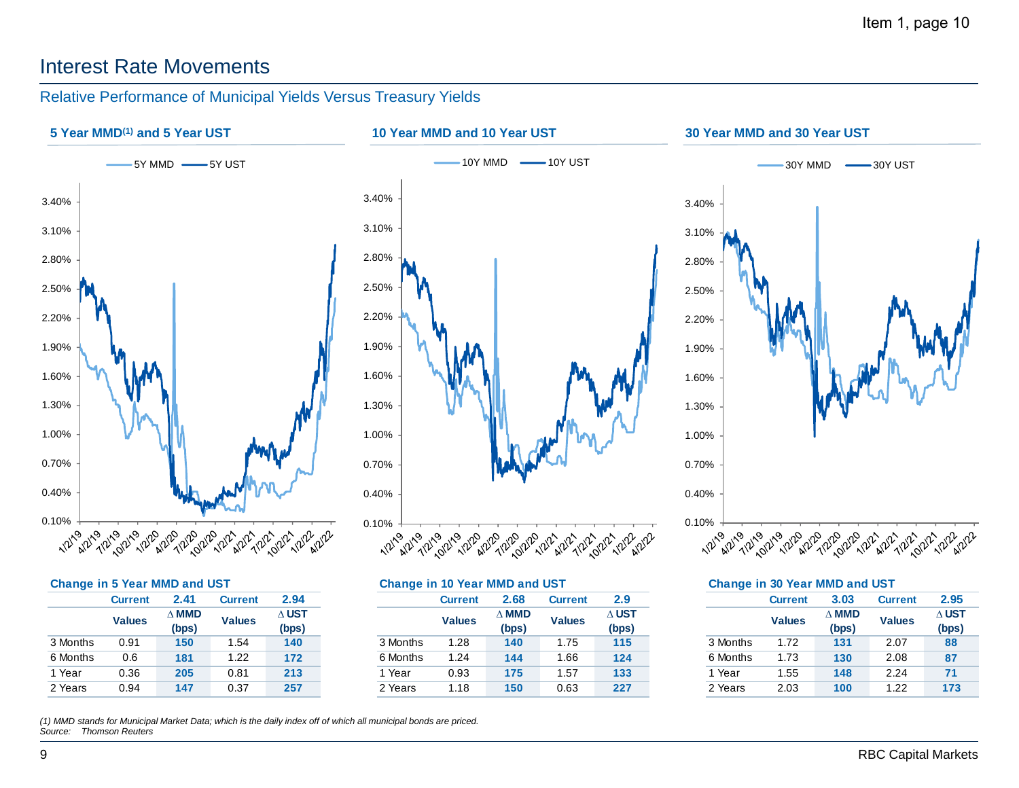## Interest Rate Movements

### Relative Performance of Municipal Yields Versus Treasury Yields



| Change in 5 Year MMD and UST |  |               |  |
|------------------------------|--|---------------|--|
|                              |  | $\sim$ $\sim$ |  |

| <b>Current</b> | 2.41          | <b>Current</b> | 2.94          |  |
|----------------|---------------|----------------|---------------|--|
|                | $\wedge$ MMD  |                | $\Delta$ UST  |  |
|                | (bps)         |                | (bps)         |  |
| 0.91           | 150           | 1.54           | 140           |  |
| 0.6            | 181           | 1.22           | 172           |  |
| 0.36           | 205           | 0.81           | 213           |  |
| 0.94           | 147           | 0.37           | 257           |  |
|                | <b>Values</b> |                | <b>Values</b> |  |

*(1) MMD stands for Municipal Market Data; which is the daily index off of which all municipal bonds are priced. Source: Thomson Reuters*

|                |               |         |                                                      | <b>Change in 10 Year MMD and UST</b> |                                        |                                        |                                  |                                                       |                |                                                            |         |                                                       |
|----------------|---------------|---------|------------------------------------------------------|--------------------------------------|----------------------------------------|----------------------------------------|----------------------------------|-------------------------------------------------------|----------------|------------------------------------------------------------|---------|-------------------------------------------------------|
| <b>Current</b> | 2.41          | Current | 2.94                                                 |                                      |                                        |                                        | 2.9                              |                                                       | <b>Current</b> | 3.03                                                       | Current | 2.95                                                  |
|                | $\Delta$ mmd  |         | $\Delta$ UST                                         |                                      | $\Delta$ MMD<br><b>Values</b><br>(bps) |                                        | $\Delta$ UST                     |                                                       |                | $\Delta$ MMD<br>(bps)                                      |         | $\Delta$ UST                                          |
|                | (bps)         |         | (bps)                                                |                                      |                                        |                                        | (bps)                            |                                                       |                |                                                            |         | (bps)                                                 |
| 0.91           | 150           | .54     | 140                                                  | 3 Months                             |                                        |                                        | 115                              |                                                       | 1.72           | 131                                                        | 2.07    | 88                                                    |
| 0.6            | 181           | .22     | 172                                                  | 6 Months                             |                                        |                                        | 124                              |                                                       | 1.73           | 130                                                        | 2.08    | 87                                                    |
| 0.36           | 205           | 0.81    | 213                                                  | Year                                 |                                        |                                        | 133                              |                                                       | .55            | 148                                                        | 2.24    | 71                                                    |
| 0.94           | 147           | 0.37    | 257                                                  | 2 Years                              |                                        |                                        | 227                              |                                                       | 2.03           | 100                                                        | .22     | 173                                                   |
|                | <b>Values</b> |         | <b>Change in 5 Year MMD and UST</b><br><b>Values</b> |                                      |                                        | Current<br>.28<br>1.24<br>0.93<br>í.18 | 2.68<br>140<br>144<br>175<br>150 | Current<br><b>Values</b><br>.75<br>.66<br>.57<br>0.63 |                | <b>Values</b><br>3 Months<br>6 Months<br>l Year<br>2 Years |         | <b>Change in 30 Year MMD and UST</b><br><b>Values</b> |

|          |                | Change in 30 Year MMD and UST |                |              |
|----------|----------------|-------------------------------|----------------|--------------|
|          | <b>Current</b> | 3.03                          | <b>Current</b> | 2.95         |
|          | <b>Values</b>  | $\wedge$ MMD                  | <b>Values</b>  | $\wedge$ UST |
|          |                | (bps)                         | (bps)          |              |
| 3 Months | 1.72           | 131                           | 2.07           | 88           |
| 6 Months | 1.73           | 130                           | 2.08           | 87           |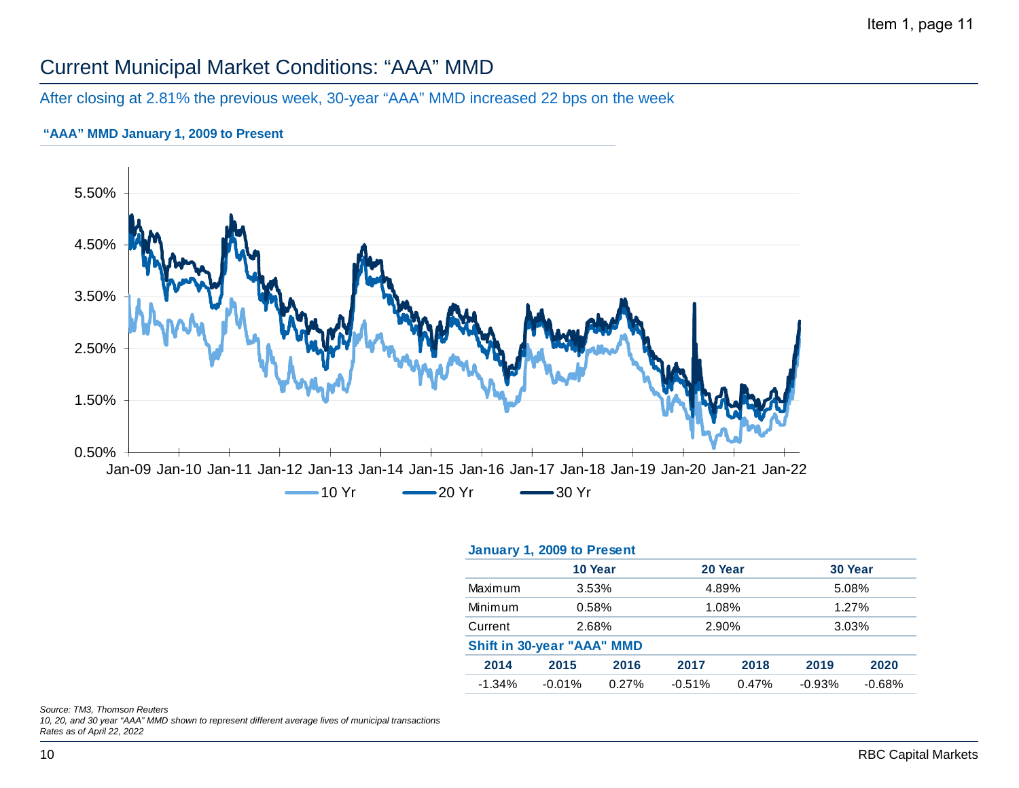# Current Municipal Market Conditions: "AAA" MMD

### After closing at 2.81% the previous week, 30-year "AAA" MMD increased 22 bps on the week

### **"AAA" MMD January 1, 2009 to Present**



|                                   | 20 Year           |                      |
|-----------------------------------|-------------------|----------------------|
| 10 Year                           |                   | 30 Year              |
| Maximum<br>3.53%                  | 4.89%             | 5.08%                |
| Minimum<br>0.58%                  | 1.08%             | 1.27%                |
| 2.68%<br>Current                  | 2.90%             |                      |
| <b>Shift in 30-year "AAA" MMD</b> |                   |                      |
| 2014<br>2015<br>2016              | 2018<br>2017      | 2019<br>2020         |
| $-1.34%$<br>$-0.01%$<br>0.27%     | 0.47%<br>$-0.51%$ | $-0.93%$<br>$-0.68%$ |

*Source: TM3, Thomson Reuters*

*10, 20, and 30 year "AAA" MMD shown to represent different average lives of municipal transactions Rates as of April 22, 2022*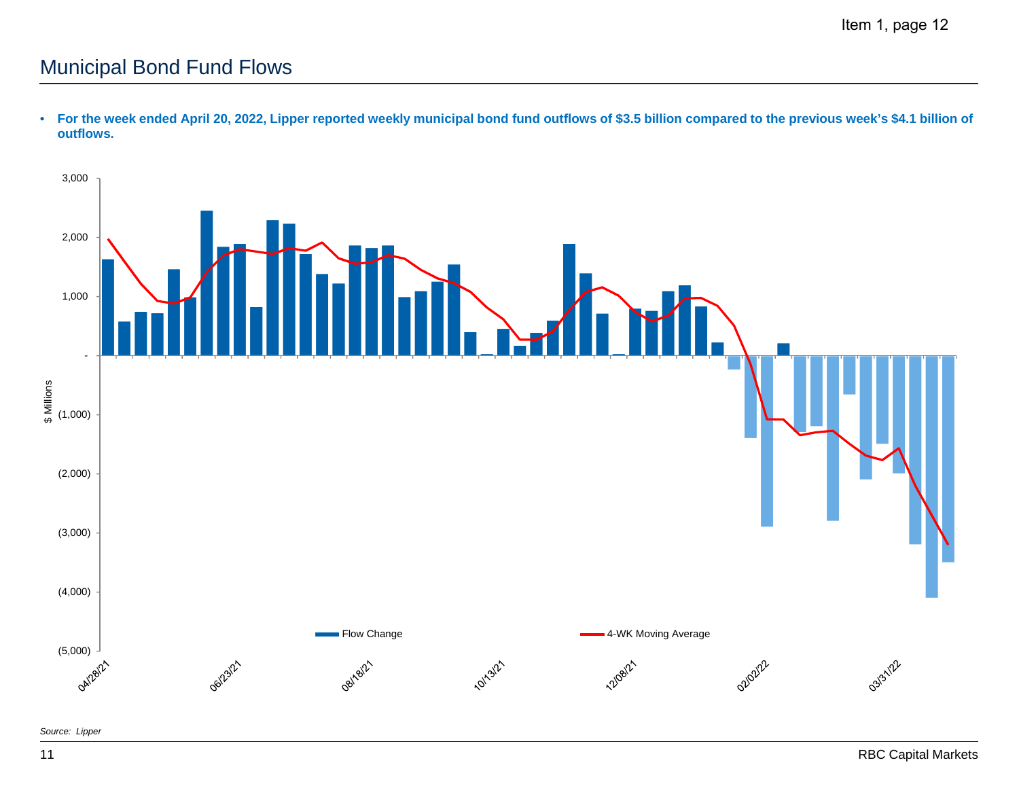# Municipal Bond Fund Flows



• **For the week ended April 20, 2022, Lipper reported weekly municipal bond fund outflows of \$3.5 billion compared to the previous week's \$4.1 billion of outflows.**

*Source: Lipper*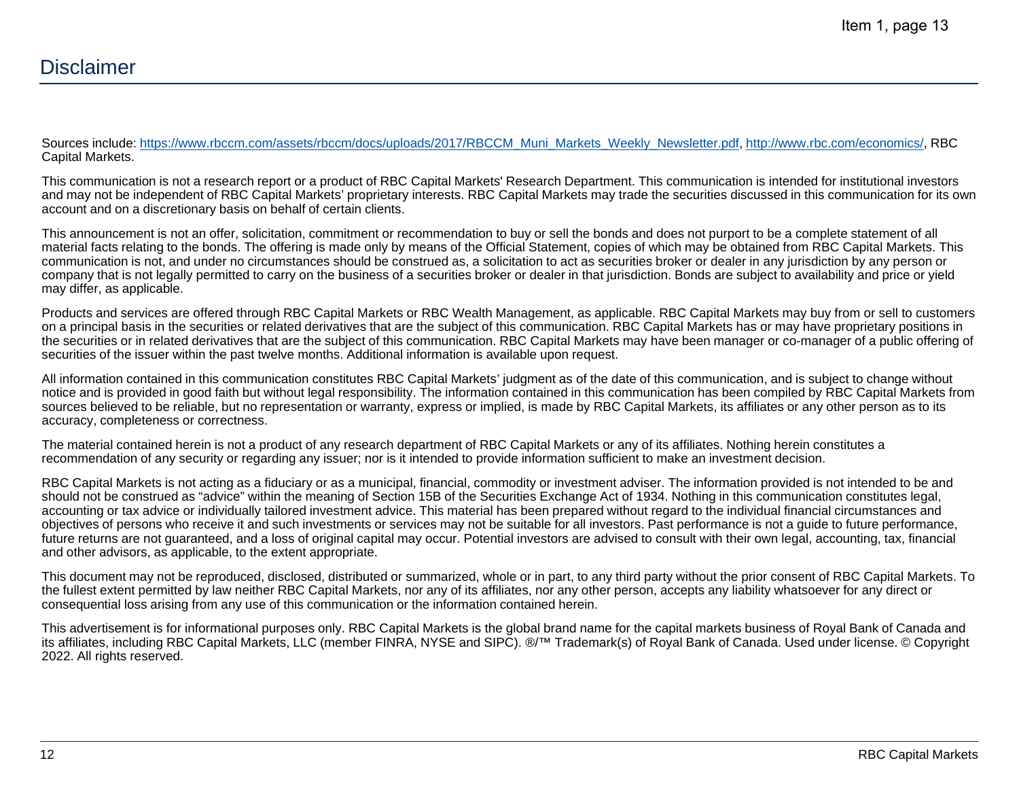Sources include: https://www.rbccm.com/assets/rbccm/docs/uploads/2017/RBCCM\_Muni\_Markets\_Weekly\_Newsletter.pdf, http://www.rbc.com/economics/, RBC Capital Markets.

This communication is not a research report or a product of RBC Capital Markets' Research Department. This communication is intended for institutional investors and may not be independent of RBC Capital Markets' proprietary interests. RBC Capital Markets may trade the securities discussed in this communication for its own account and on a discretionary basis on behalf of certain clients.

This announcement is not an offer, solicitation, commitment or recommendation to buy or sell the bonds and does not purport to be a complete statement of all material facts relating to the bonds. The offering is made only by means of the Official Statement, copies of which may be obtained from RBC Capital Markets. This communication is not, and under no circumstances should be construed as, a solicitation to act as securities broker or dealer in any jurisdiction by any person or company that is not legally permitted to carry on the business of a securities broker or dealer in that jurisdiction. Bonds are subject to availability and price or yield may differ, as applicable.

Products and services are offered through RBC Capital Markets or RBC Wealth Management, as applicable. RBC Capital Markets may buy from or sell to customers on a principal basis in the securities or related derivatives that are the subject of this communication. RBC Capital Markets has or may have proprietary positions in the securities or in related derivatives that are the subject of this communication. RBC Capital Markets may have been manager or co-manager of a public offering of securities of the issuer within the past twelve months. Additional information is available upon request.

All information contained in this communication constitutes RBC Capital Markets' judgment as of the date of this communication, and is subject to change without notice and is provided in good faith but without legal responsibility. The information contained in this communication has been compiled by RBC Capital Markets from sources believed to be reliable, but no representation or warranty, express or implied, is made by RBC Capital Markets, its affiliates or any other person as to its accuracy, completeness or correctness.

The material contained herein is not a product of any research department of RBC Capital Markets or any of its affiliates. Nothing herein constitutes a recommendation of any security or regarding any issuer; nor is it intended to provide information sufficient to make an investment decision.

RBC Capital Markets is not acting as a fiduciary or as a municipal, financial, commodity or investment adviser. The information provided is not intended to be and should not be construed as "advice" within the meaning of Section 15B of the Securities Exchange Act of 1934. Nothing in this communication constitutes legal, accounting or tax advice or individually tailored investment advice. This material has been prepared without regard to the individual financial circumstances and objectives of persons who receive it and such investments or services may not be suitable for all investors. Past performance is not a guide to future performance, future returns are not guaranteed, and a loss of original capital may occur. Potential investors are advised to consult with their own legal, accounting, tax, financial and other advisors, as applicable, to the extent appropriate.

This document may not be reproduced, disclosed, distributed or summarized, whole or in part, to any third party without the prior consent of RBC Capital Markets. To the fullest extent permitted by law neither RBC Capital Markets, nor any of its affiliates, nor any other person, accepts any liability whatsoever for any direct or consequential loss arising from any use of this communication or the information contained herein.

This advertisement is for informational purposes only. RBC Capital Markets is the global brand name for the capital markets business of Royal Bank of Canada and its affiliates, including RBC Capital Markets, LLC (member FINRA, NYSE and SIPC). ®/™ Trademark(s) of Royal Bank of Canada. Used under license. © Copyright 2022. All rights reserved.